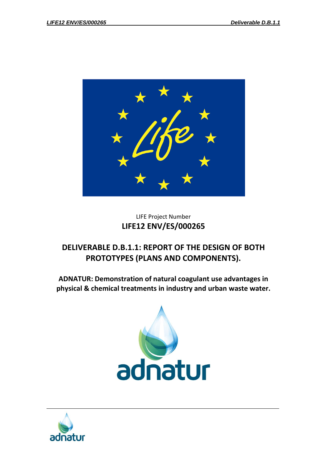

## LIFE Project Number **LIFE12 ENV/ES/000265**

# **DELIVERABLE D.B.1.1: REPORT OF THE DESIGN OF BOTH PROTOTYPES (PLANS AND COMPONENTS).**

**ADNATUR: Demonstration of natural coagulant use advantages in physical & chemical treatments in industry and urban waste water.**



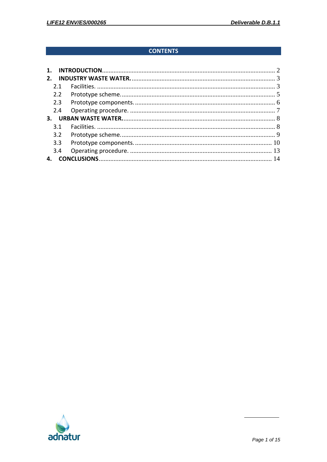## **CONTENTS**

| 2.  |  |
|-----|--|
| 21  |  |
| 2.2 |  |
| 2.3 |  |
| 2.4 |  |
|     |  |
| 31  |  |
| 3.2 |  |
| 3.3 |  |
| 3.4 |  |
|     |  |

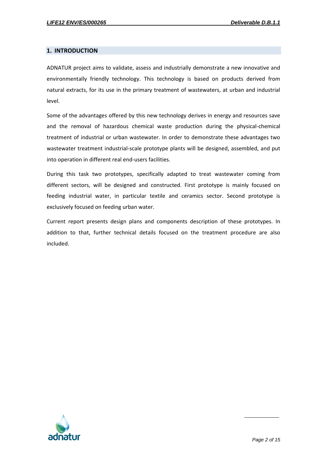#### <span id="page-2-0"></span>**1. INTRODUCTION**

ADNATUR project aims to validate, assess and industrially demonstrate a new innovative and environmentally friendly technology. This technology is based on products derived from natural extracts, for its use in the primary treatment of wastewaters, at urban and industrial level.

Some of the advantages offered by this new technology derives in energy and resources save and the removal of hazardous chemical waste production during the physical-chemical treatment of industrial or urban wastewater. In order to demonstrate these advantages two wastewater treatment industrial-scale prototype plants will be designed, assembled, and put into operation in different real end-users facilities.

During this task two prototypes, specifically adapted to treat wastewater coming from different sectors, will be designed and constructed. First prototype is mainly focused on feeding industrial water, in particular textile and ceramics sector. Second prototype is exclusively focused on feeding urban water.

Current report presents design plans and components description of these prototypes. In addition to that, further technical details focused on the treatment procedure are also included.

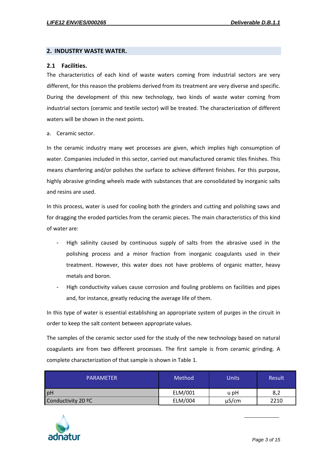#### <span id="page-3-0"></span>**2. INDUSTRY WASTE WATER.**

#### <span id="page-3-1"></span>**2.1 Facilities.**

The characteristics of each kind of waste waters coming from industrial sectors are very different, for this reason the problems derived from its treatment are very diverse and specific. During the development of this new technology, two kinds of waste water coming from industrial sectors (ceramic and textile sector) will be treated. The characterization of different waters will be shown in the next points.

a. Ceramic sector.

In the ceramic industry many wet processes are given, which implies high consumption of water. Companies included in this sector, carried out manufactured ceramic tiles finishes. This means chamfering and/or polishes the surface to achieve different finishes. For this purpose, highly abrasive grinding wheels made with substances that are consolidated by inorganic salts and resins are used.

In this process, water is used for cooling both the grinders and cutting and polishing saws and for dragging the eroded particles from the ceramic pieces. The main characteristics of this kind of water are:

- High salinity caused by continuous supply of salts from the abrasive used in the polishing process and a minor fraction from inorganic coagulants used in their treatment. However, this water does not have problems of organic matter, heavy metals and boron.
- High conductivity values cause corrosion and fouling problems on facilities and pipes and, for instance, greatly reducing the average life of them.

In this type of water is essential establishing an appropriate system of purges in the circuit in order to keep the salt content between appropriate values.

The samples of the ceramic sector used for the study of the new technology based on natural coagulants are from two different processes. The first sample is from ceramic grinding. A complete characterization of that sample is shown in Table 1.

| <b>PARAMETER</b>   | Method  | <b>Units</b> | Result |
|--------------------|---------|--------------|--------|
| pH                 | ELM/001 | u pH         | 8,2    |
| Conductivity 20 ºC | ELM/004 | $\mu$ S/cm   | 2210   |



*Page 3 of 15*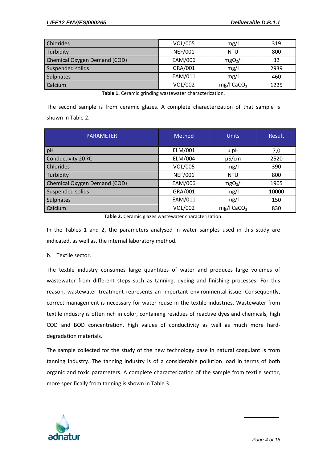| <b>Chlorides</b>             | VOL/005        | mg/l                   | 319  |
|------------------------------|----------------|------------------------|------|
| Turbidity                    | <b>NEF/001</b> | <b>NTU</b>             | 800  |
| Chemical Oxygen Demand (COD) | EAM/006        | mgO <sub>2</sub> /I    | 32   |
| <b>Suspended solids</b>      | GRA/001        | mg/l                   | 2939 |
| <b>Sulphates</b>             | EAM/011        | mg/l                   | 460  |
| Calcium                      | <b>VOL/002</b> | mg/l CaCO <sub>3</sub> | 1225 |

**Table 1.** Ceramic grinding wastewater characterization.

The second sample is from ceramic glazes. A complete characterization of that sample is shown in Table 2.

| <b>PARAMETER</b>                    | Method         | <b>Units</b>             | <b>Result</b> |
|-------------------------------------|----------------|--------------------------|---------------|
| pH                                  | ELM/001        | u pH                     | 7,0           |
| Conductivity 20 °C                  | ELM/004        | $\mu$ S/cm               | 2520          |
| <b>Chlorides</b>                    | VOL/005        | mg/l                     | 390           |
| Turbidity                           | <b>NEF/001</b> | <b>NTU</b>               | 800           |
| <b>Chemical Oxygen Demand (COD)</b> | EAM/006        | mgO <sub>2</sub> /I      | 1905          |
| <b>Suspended solids</b>             | GRA/001        | mg/l                     | 10000         |
| <b>Sulphates</b>                    | EAM/011        | mg/l                     | 150           |
| Calcium                             | VOL/002        | $mg/l$ CaCO <sub>3</sub> | 830           |

**Table 2.** Ceramic glazes wastewater characterization.

In the Tables 1 and 2, the parameters analysed in water samples used in this study are indicated, as well as, the internal laboratory method.

#### b. Textile sector.

The textile industry consumes large quantities of water and produces large volumes of wastewater from different steps such as tanning, dyeing and finishing processes. For this reason, wastewater treatment represents an important environmental issue. Consequently, correct management is necessary for water reuse in the textile industries. Wastewater from textile industry is often rich in color, containing residues of reactive dyes and chemicals, high COD and BOD concentration, high values of conductivity as well as much more harddegradation materials.

The sample collected for the study of the new technology base in natural coagulant is from tanning industry. The tanning industry is of a considerable pollution load in terms of both organic and toxic parameters. A complete characterization of the sample from textile sector, more specifically from tanning is shown in Table 3.

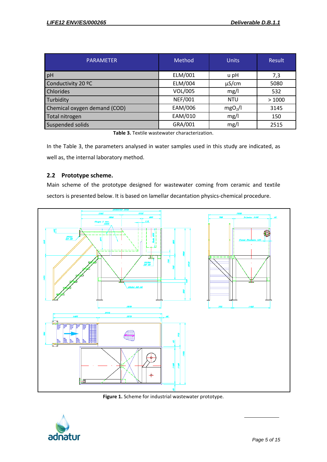| <b>PARAMETER</b>             | Method         | <b>Units</b>        | Result |
|------------------------------|----------------|---------------------|--------|
| pH                           | ELM/001        | u pH                | 7,3    |
| Conductivity 20 °C           | ELM/004        | $\mu$ S/cm          | 5080   |
| Chlorides                    | VOL/005        | mg/l                | 532    |
| Turbidity                    | <b>NEF/001</b> | <b>NTU</b>          | >1000  |
| Chemical oxygen demand (COD) | EAM/006        | mgO <sub>2</sub> /I | 3145   |
| Total nitrogen               | EAM/010        | mg/l                | 150    |
| Suspended solids             | GRA/001        | mg/l                | 2515   |

**Table 3.** Textile wastewater characterization.

In the Table 3, the parameters analysed in water samples used in this study are indicated, as well as, the internal laboratory method.

### <span id="page-5-0"></span>**2.2 Prototype scheme.**

Main scheme of the prototype designed for wastewater coming from ceramic and textile sectors is presented below. It is based on lamellar decantation physics-chemical procedure.



**Figure 1.** Scheme for industrial wastewater prototype.

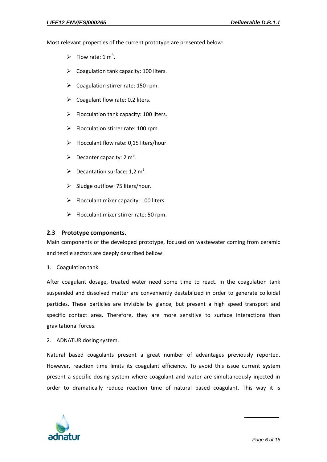Most relevant properties of the current prototype are presented below:

- Flow rate:  $1 \text{ m}^3$ .
- $\triangleright$  Coagulation tank capacity: 100 liters.
- $\triangleright$  Coagulation stirrer rate: 150 rpm.
- $\triangleright$  Coagulant flow rate: 0.2 liters.
- $\triangleright$  Flocculation tank capacity: 100 liters.
- $\triangleright$  Flocculation stirrer rate: 100 rpm.
- $\triangleright$  Flocculant flow rate: 0.15 liters/hour.
- $\triangleright$  Decanter capacity: 2 m<sup>3</sup>.
- $\triangleright$  Decantation surface: 1,2 m<sup>2</sup>.
- $\triangleright$  Sludge outflow: 75 liters/hour.
- $\triangleright$  Flocculant mixer capacity: 100 liters.
- $\triangleright$  Flocculant mixer stirrer rate: 50 rpm.

#### <span id="page-6-0"></span>**2.3 Prototype components.**

Main components of the developed prototype, focused on wastewater coming from ceramic and textile sectors are deeply described bellow:

1. Coagulation tank.

After coagulant dosage, treated water need some time to react. In the coagulation tank suspended and dissolved matter are conveniently destabilized in order to generate colloidal particles. These particles are invisible by glance, but present a high speed transport and specific contact area. Therefore, they are more sensitive to surface interactions than gravitational forces.

2. ADNATUR dosing system.

Natural based coagulants present a great number of advantages previously reported. However, reaction time limits its coagulant efficiency. To avoid this issue current system present a specific dosing system where coagulant and water are simultaneously injected in order to dramatically reduce reaction time of natural based coagulant. This way it is

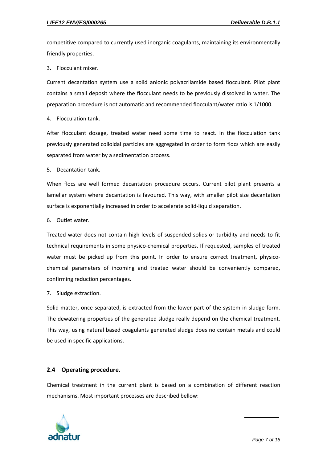competitive compared to currently used inorganic coagulants, maintaining its environmentally friendly properties.

3. Flocculant mixer.

Current decantation system use a solid anionic polyacrilamide based flocculant. Pilot plant contains a small deposit where the flocculant needs to be previously dissolved in water. The preparation procedure is not automatic and recommended flocculant/water ratio is 1/1000.

4. Flocculation tank.

After flocculant dosage, treated water need some time to react. In the flocculation tank previously generated colloidal particles are aggregated in order to form flocs which are easily separated from water by a sedimentation process.

5. Decantation tank.

When flocs are well formed decantation procedure occurs. Current pilot plant presents a lamellar system where decantation is favoured. This way, with smaller pilot size decantation surface is exponentially increased in order to accelerate solid-liquid separation.

6. Outlet water.

Treated water does not contain high levels of suspended solids or turbidity and needs to fit technical requirements in some physico-chemical properties. If requested, samples of treated water must be picked up from this point. In order to ensure correct treatment, physicochemical parameters of incoming and treated water should be conveniently compared, confirming reduction percentages.

7. Sludge extraction.

Solid matter, once separated, is extracted from the lower part of the system in sludge form. The dewatering properties of the generated sludge really depend on the chemical treatment. This way, using natural based coagulants generated sludge does no contain metals and could be used in specific applications.

#### <span id="page-7-0"></span>**2.4 Operating procedure.**

Chemical treatment in the current plant is based on a combination of different reaction mechanisms. Most important processes are described bellow:

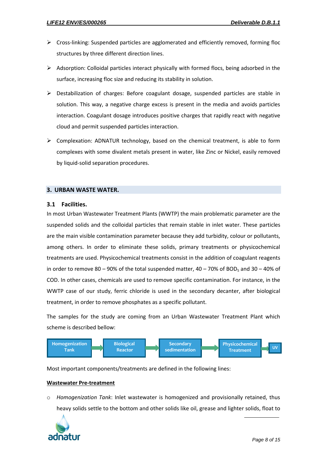- $\triangleright$  Cross-linking: Suspended particles are agglomerated and efficiently removed, forming floc structures by three different direction lines.
- $\triangleright$  Adsorption: Colloidal particles interact physically with formed flocs, being adsorbed in the surface, increasing floc size and reducing its stability in solution.
- $\triangleright$  Destabilization of charges: Before coagulant dosage, suspended particles are stable in solution. This way, a negative charge excess is present in the media and avoids particles interaction. Coagulant dosage introduces positive charges that rapidly react with negative cloud and permit suspended particles interaction.
- $\triangleright$  Complexation: ADNATUR technology, based on the chemical treatment, is able to form complexes with some divalent metals present in water, like Zinc or Nickel, easily removed by liquid-solid separation procedures.

#### <span id="page-8-0"></span>**3. URBAN WASTE WATER.**

#### <span id="page-8-1"></span>**3.1 Facilities.**

In most Urban Wastewater Treatment Plants (WWTP) the main problematic parameter are the suspended solids and the colloidal particles that remain stable in inlet water. These particles are the main visible contamination parameter because they add turbidity, colour or pollutants, among others. In order to eliminate these solids, primary treatments or physicochemical treatments are used. Physicochemical treatments consist in the addition of coagulant reagents in order to remove 80 – 90% of the total suspended matter,  $40 - 70%$  of BOD<sub>5</sub> and 30 – 40% of COD. In other cases, chemicals are used to remove specific contamination. For instance, in the WWTP case of our study, ferric chloride is used in the secondary decanter, after biological treatment, in order to remove phosphates as a specific pollutant.

The samples for the study are coming from an Urban Wastewater Treatment Plant which scheme is described bellow:



Most important components/treatments are defined in the following lines:

#### **Wastewater Pre-treatment**

o *Homogenization Tank*: Inlet wastewater is homogenized and provisionally retained, thus heavy solids settle to the bottom and other solids like oil, grease and lighter solids, float to

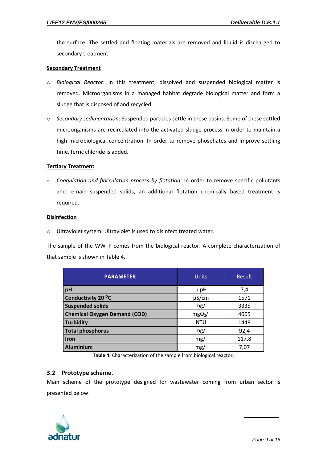the surface. The settled and floating materials are removed and liquid is discharged to secondary treatment.

#### **Secondary Treatment**

- o *Biological Reactor*: In this treatment, dissolved and suspended biological matter is removed. Microorganisms in a managed habitat degrade biological matter and form a sludge that is disposed of and recycled.
- o *Secondary sedimentation*: Suspended particles settle in these basins. Some of these settled microorganisms are recirculated into the activated sludge process in order to maintain a high microbiological concentration. In order to remove phosphates and improve settling time, ferric chloride is added.

#### **Tertiary Treatment**

o *Coagulation and flocculation process by flotation*: In order to remove specific pollutants and remain suspended solids, an additional flotation chemically based treatment is required.

#### **Disinfection**

o Ultraviolet system: Ultraviolet is used to disinfect treated water.

The sample of the WWTP comes from the biological reactor. A complete characterization of that sample is shown in Table 4.

| <b>PARAMETER</b>                    | <b>Units</b>        | Result |
|-------------------------------------|---------------------|--------|
| pH                                  | u pH                | 7,4    |
| Conductivity 20 °C                  | $\mu$ S/cm          | 1571   |
| <b>Suspended solids</b>             | mg/l                | 3335   |
| <b>Chemical Oxygen Demand (COD)</b> | mgO <sub>2</sub> /I | 4005   |
| <b>Turbidity</b>                    | <b>NTU</b>          | 1448   |
| <b>Total phosphorus</b>             | mg/l                | 92,4   |
| Iron                                | mg/l                | 117,8  |
| Aluminium                           | mg/l                | 7,07   |

**Table 4.** Characterization of the sample from biological reactor.

#### <span id="page-9-0"></span>**3.2 Prototype scheme.**

Main scheme of the prototype designed for wastewater coming from urban sector is presented below.

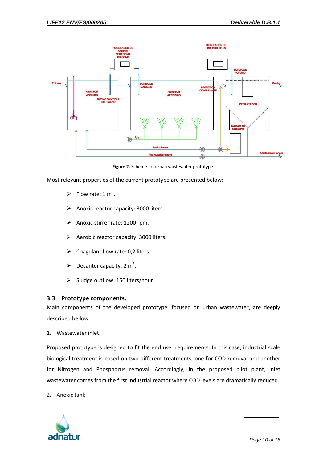

**Figure 2.** Scheme for urban wastewater prototype.

Most relevant properties of the current prototype are presented below:

- Flow rate:  $1 \text{ m}^3$ .
- $\triangleright$  Anoxic reactor capacity: 3000 liters.
- $\triangleright$  Anoxic stirrer rate: 1200 rpm.
- $\triangleright$  Aerobic reactor capacity: 3000 liters.
- $\triangleright$  Coagulant flow rate: 0,2 liters.
- $\blacktriangleright$  Decanter capacity: 2 m<sup>3</sup>.
- $\triangleright$  Sludge outflow: 150 liters/hour.

#### <span id="page-10-0"></span>**3.3 Prototype components.**

Main components of the developed prototype, focused on urban wastewater, are deeply described bellow:

1. Wastewater inlet.

Proposed prototype is designed to fit the end user requirements. In this case, industrial scale biological treatment is based on two different treatments, one for COD removal and another for Nitrogen and Phosphorus removal. Accordingly, in the proposed pilot plant, inlet wastewater comes from the first industrial reactor where COD levels are dramatically reduced.

2. Anoxic tank.

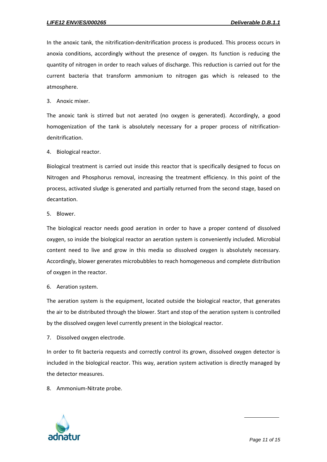In the anoxic tank, the nitrification-denitrification process is produced. This process occurs in anoxia conditions, accordingly without the presence of oxygen. Its function is reducing the quantity of nitrogen in order to reach values of discharge. This reduction is carried out for the current bacteria that transform ammonium to nitrogen gas which is released to the atmosphere.

3. Anoxic mixer.

The anoxic tank is stirred but not aerated (no oxygen is generated). Accordingly, a good homogenization of the tank is absolutely necessary for a proper process of nitrificationdenitrification.

4. Biological reactor.

Biological treatment is carried out inside this reactor that is specifically designed to focus on Nitrogen and Phosphorus removal, increasing the treatment efficiency. In this point of the process, activated sludge is generated and partially returned from the second stage, based on decantation.

5. Blower.

The biological reactor needs good aeration in order to have a proper contend of dissolved oxygen, so inside the biological reactor an aeration system is conveniently included. Microbial content need to live and grow in this media so dissolved oxygen is absolutely necessary. Accordingly, blower generates microbubbles to reach homogeneous and complete distribution of oxygen in the reactor.

6. Aeration system.

The aeration system is the equipment, located outside the biological reactor, that generates the air to be distributed through the blower. Start and stop of the aeration system is controlled by the dissolved oxygen level currently present in the biological reactor.

7. Dissolved oxygen electrode.

In order to fit bacteria requests and correctly control its grown, dissolved oxygen detector is included in the biological reactor. This way, aeration system activation is directly managed by the detector measures.

8. Ammonium-Nitrate probe.

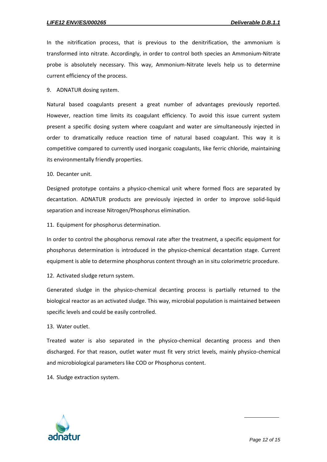In the nitrification process, that is previous to the denitrification, the ammonium is transformed into nitrate. Accordingly, in order to control both species an Ammonium-Nitrate probe is absolutely necessary. This way, Ammonium-Nitrate levels help us to determine current efficiency of the process.

9. ADNATUR dosing system.

Natural based coagulants present a great number of advantages previously reported. However, reaction time limits its coagulant efficiency. To avoid this issue current system present a specific dosing system where coagulant and water are simultaneously injected in order to dramatically reduce reaction time of natural based coagulant. This way it is competitive compared to currently used inorganic coagulants, like ferric chloride, maintaining its environmentally friendly properties.

10. Decanter unit.

Designed prototype contains a physico-chemical unit where formed flocs are separated by decantation. ADNATUR products are previously injected in order to improve solid-liquid separation and increase Nitrogen/Phosphorus elimination.

11. Equipment for phosphorus determination.

In order to control the phosphorus removal rate after the treatment, a specific equipment for phosphorus determination is introduced in the physico-chemical decantation stage. Current equipment is able to determine phosphorus content through an in situ colorimetric procedure.

12. Activated sludge return system.

Generated sludge in the physico-chemical decanting process is partially returned to the biological reactor as an activated sludge. This way, microbial population is maintained between specific levels and could be easily controlled.

13. Water outlet.

Treated water is also separated in the physico-chemical decanting process and then discharged. For that reason, outlet water must fit very strict levels, mainly physico-chemical and microbiological parameters like COD or Phosphorus content.

14. Sludge extraction system.

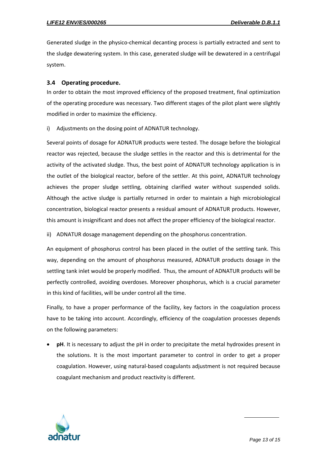Generated sludge in the physico-chemical decanting process is partially extracted and sent to the sludge dewatering system. In this case, generated sludge will be dewatered in a centrifugal system.

#### <span id="page-13-0"></span>**3.4 Operating procedure.**

In order to obtain the most improved efficiency of the proposed treatment, final optimization of the operating procedure was necessary. Two different stages of the pilot plant were slightly modified in order to maximize the efficiency.

i) Adjustments on the dosing point of ADNATUR technology.

Several points of dosage for ADNATUR products were tested. The dosage before the biological reactor was rejected, because the sludge settles in the reactor and this is detrimental for the activity of the activated sludge. Thus, the best point of ADNATUR technology application is in the outlet of the biological reactor, before of the settler. At this point, ADNATUR technology achieves the proper sludge settling, obtaining clarified water without suspended solids. Although the active sludge is partially returned in order to maintain a high microbiological concentration, biological reactor presents a residual amount of ADNATUR products. However, this amount is insignificant and does not affect the proper efficiency of the biological reactor.

ii) ADNATUR dosage management depending on the phosphorus concentration.

An equipment of phosphorus control has been placed in the outlet of the settling tank. This way, depending on the amount of phosphorus measured, ADNATUR products dosage in the settling tank inlet would be properly modified. Thus, the amount of ADNATUR products will be perfectly controlled, avoiding overdoses. Moreover phosphorus, which is a crucial parameter in this kind of facilities, will be under control all the time.

Finally, to have a proper performance of the facility, key factors in the coagulation process have to be taking into account. Accordingly, efficiency of the coagulation processes depends on the following parameters:

 **pH**. It is necessary to adjust the pH in order to precipitate the metal hydroxides present in the solutions. It is the most important parameter to control in order to get a proper coagulation. However, using natural-based coagulants adjustment is not required because coagulant mechanism and product reactivity is different.